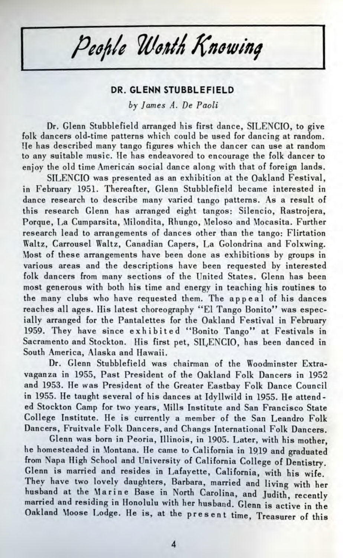People Worth Knowing

## **DR. GLENN STUBBLEFIELD**

*by James A. De Paoli*

Dr. Glenn Stubblefield arranged his first dance, SILENCIO, to give folk dancers old-time patterns which could be used for dancing at random. Ue has described many tango figures which the dancer can use at random to any suitable music. He has endeavored to encourage the folk dancer to enjoy the old time American social dance along with that of foreign lands.

SILENCIO was presented as an exhibition at the Oakland Festival, in February 1951. Thereafter, Glenn Stubblefield became interested in dance research to describe many varied tango patterns. As a result of this research Glenn has arranged eight tangos: Silencio, Rastrojera, Porque, La Cumparsita, Milondita, Rhungo, Meloso and Mocasita. Further research lead to arrangements of dances other than the tango: Flirtation Waltz, Carrousel Waltz, Canadian Capers, La Golondrina and Folxwing. Most of these arrangements have been done as exhibitions by groups in various areas and the descriptions have been requested by interested folk dancers from many sections of the United States. Glenn has been most generous with both his time and energy in teaching his routines to the many clubs who have requested them. The appeal of his dances reaches all ages. His latest choreography "El Tango Bonito" was especially arranged for the Pantalettes for the Oakland Festival in February 1959. They have since exhibited "Bonito Tango" at Festivals in Sacramento and Stockton. His first pet, SILENCIO, has been danced in South America, Alaska and Hawaii.

Dr. Glenn Stubblefield was chairman of the Woodminster Extravaganza in 1955, Past President of the Oakland Folk Dancers in 1952 and 1953. He was President of the Greater Eastbay Folk Dance Council in 1955. He taught several of his dances at Idyllwild in 1955. He attended Stockton Camp for two years, Mills Institute and San Francisco State College Institute. He is currently a member of the San Leandro Folk Dancers, Fruitvale Folk Dancers, and Changs International Folk Dancers.

Glenn was born in Peoria, Illinois, in 1905. Later, with his mother, he homesteaded in Montana. He came to California in 19.19 and graduated from Napa High School and University of California College of Dentistry. Glenn is married and resides in Lafayette, California, with his wife. They have two lovely daughters, Barbara, married and living with her husband at the Marine Base in North Carolina, and Judith, recently married and residing in Honolulu with her husband. Glenn is active in the Oakland Moose Lodge. He is, at the present time, Treasurer of this